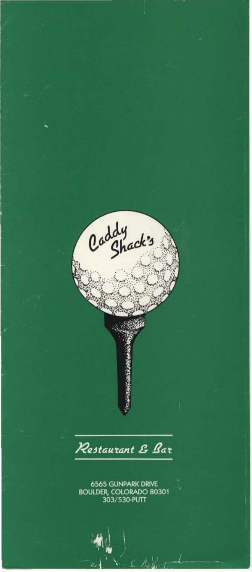Caddy<br>Caddy Restaurant & Bar 6565 GUNPARK DRIVE<br>BOULDER, COLORADO 80301<br>303/530-PUTT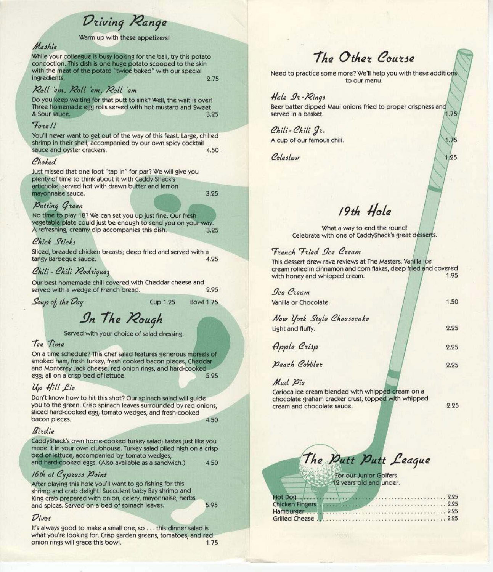Driving Range

Warm up with these appetizers

# Mashie

While your colleague is busy looking for the ball, try this potato concoction. This dish is one huge potato scooped to the skin with the meat of the potato "twice baked" with our special ingredients. 2.75

## Roll em, Roll em, Roll em

Do you keep waiting for that putt to sink? Well, the wait is over! Three homemade egg rolls served with hot mustard and Sweet & Sour sauce. 3.25

#### Fore!!

You'll never want to get out of the way of this feast. Large, chilled shrimp in their shell, accompanied by our own spicy cocktail 4.50 sauce and oyster crackers.

#### Choked

Just missed that one foot "tap in" for par? We will give you plenty of time to think about it with Caddy Shack's artichoke; served hot with drawn butter and lemon mayonnaise sauce. 3.25

#### Putting Green

No time to play 18? We can set you up just fine. Our fresh vegetable plate could just be enough to send you on your way A refreshing, creamy dip accompanies this dish. 3.25

#### Chick Sticks

Sliced, breaded chicken breasts; deep fried and served with a tangy Barbeque sauce. 4.25

#### Chili - Chili Rodriguez

Our best homemade chili covered with Cheddar cheese and served with a wedge of French bread. 2.95

Soup of the Day

**Cup 1.25 Bowl 1.75** 

In The Rough

Served with your choice of salad dressing.

#### Tee Time

On a time schedule? This chef salad features generous morsels of smoked ham, fresh turkey, fresh cooked bacon pieces, Cheddar and Monterey Jack cheese, red onion rings, and hard-cooked egg; all on a crisp bed of lettuce. 5.25

#### Up Hill Lie

Don't know how to hit this shot? Our spinach salad will guide you to the green. Crisp spinach leaves surrounded by red onions, sliced hard-cooked egg, tomato wedges, and fresh-cooked bacon pieces. 4.50

#### Birdie

CaddyShack's own home-cooked turkey salad; tastes just like you made it in your own clubhouse. Turkey salad piled high on a crisp bed of lettuce, accompanied by tomato wedges, and hard-cooked eggs. (Also available as a sandwich.) 4.50

#### 16th at Cypress Point

After playing this hole you'll want to go fishing for this shrimp and crab delight! Succulent baby Bay shrimp and King crab prepared with onion, celery, mayonnaise, herbs 5.95 and spices. Served on a bed of spinach leaves.

#### Divot

It's always good to make a small one, so . . . this dinner salad is what you're looking for. Crisp garden greens, tomatoes, and red onion rings will grace this bowl. 1.75

# The Other Course

Need to practice some more? We'll help you with these additions to our menu.

#### Hale Ir-Rings Beer batter dipped Maui onions fried to proper crispness and served in a basket. 1.75

Chili-Chili Jr. A cup of our famous chili.

Coleslaw

 $1,25$ 

 $1.75$ 

19th Hole

What a way to end the round! Celebrate with one of CaddyShack's great desserts.

#### French Fried Ice Cream

This dessert drew rave reviews at The Masters. Vanilla ice cream rolled in cinnamon and corn flakes, deep fried and covered 1.95 with honey and whipped cream.

| Oce Cream                 |      |
|---------------------------|------|
| /anilla or Chocolate.     | 1.50 |
| New York Style Cheesecake |      |
| ight and fluffy.          | 2.25 |
| Apple Crisp               | 2.25 |
| Deach Cobbler             | 2.25 |
| Mud Die                   |      |

Carioca ice cream blended with whipped cream on a chocolate graham cracker crust, topped with whipped cream and chocolate sauce.

2.25

The Putt Putt League

For our Junior Golfers 12 years old and under.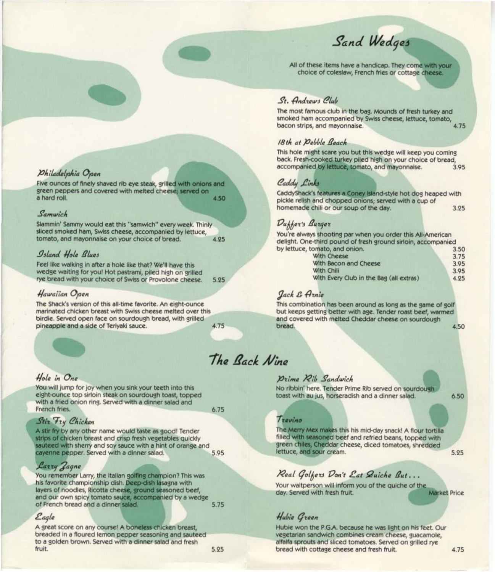Sand Wedges

All of these items have a handicap. They come with your choice of coleslaw, French fries or cottage cheese.

# St. Andrews Club

The most famous club in the bag. Mounds of fresh turkey and smoked ham accompanied by Swiss cheese, lettuce, tomato, 4.75 bacon strips, and mayonnaise.

#### 18th at Debble Beach

This hole might scare you but this wedge will keep you coming back. Fresh-cooked turkey piled high on your choice of bread, accompanied by lettuce, tomato, and mayonnaise. 3.95

# Caddy Links

CaddyShack's features a Coney Island-style hot dog heaped with pickle relish and chopped onions; served with a cup of homemade chili or our soup of the day. 3.25

# Duffer's Burger

You're always shooting par when you order this All-American delight. One-third pound of fresh ground sirloin, accompanied by lettuce, tomato, and onion.  $350$ 

| With Cheese                             | 3.75 |
|-----------------------------------------|------|
| With Bacon and Cheese                   | 3.95 |
| With Chili                              | 3.95 |
| With Every Club in the Bag (all extras) | 4.25 |
|                                         |      |

# Jack & Arnie

This combination has been around as long as the game of golf but keeps getting better with age. Tender roast beef, warmed and covered with melted Cheddar cheese on sourdough bread.

#### 4.50

 $6.50$ 

5.25

# The Back Nine

#### Drime Rib Sandwich

No ribbin' here. Tender Prime Rib served on sourdough toast with au jus, horseradish and a dinner salad.

#### Trevino

The Merry Mex makes this his mid-day snack! A flour tortilla filled with seasoned beef and refried beans, topped with green chiles, Cheddar cheese, diced tomatoes, shredded lettuce, and sour cream.

# Real Golfers Don't Eat Quiche But...

Your waitperson will inform you of the quiche of the **Market Price** day. Served with fresh fruit.

# Hubia Green

Hubie won the P.G.A. because he was light on his feet. Our vegetarian sandwich combines cream cheese, guacamole, alfalfa sprouts and sliced tomatoes. Served on grilled rye bread with cottage cheese and fresh fruit.

### *Mhiladelphia Open*

Five ounces of finely shaved rib eye steak, grilled with onions and green peppers and covered with melted cheese; served on a hard roll. 4.50

#### Samwich

Slammin' Sammy would eat this "samwich" every week. Thinly sliced smoked ham, Swiss cheese, accompanied by lettuce, tomato, and mayonnaise on your choice of bread. 4.25

### Island Hole Blues

Feel like walking in after a hole like that? We'll have this wedge waiting for you! Hot pastrami, piled high on grilled rye bread with your choice of Swiss or Provolone cheese. 5.25

#### Hawaiian Open

The Shack's version of this all-time favorite. An eight-ounce marinated chicken breast with Swiss cheese melted over this birdie. Served open face on sourdough bread, with grilled pineapple and a side of Teriyaki sauce. 4.75

### Hole in One

You will jump for joy when you sink your teeth into this eight-ounce top sirloin steak on sourdough toast, topped with a fried onion ring. Served with a dinner salad and French fries.

#### Stir Fry Chicken

A stir fry by any other name would taste as good! Tender strips of chicken breast and crisp fresh vegetables quickly sauteed with sherry and soy sauce with a hint of orange and 5.95 cayenne pepper. Served with a dinner salad.

### Larry *Lagne*

You remember Larry, the Italian golfing champion? This was his favorite championship dish. Deep-dish lasagna with layers of noodles, Ricotta cheese, ground seasoned beef, and our own spicy tomato sauce, accompanied by a wedge of French bread and a dinner salad. 5.75

#### Eagle

A great score on any course! A boneless chicken breast, breaded in a floured lemon pepper seasoning and sauteed to a golden brown. Served with a dinner salad and fresh fruit.

6.75